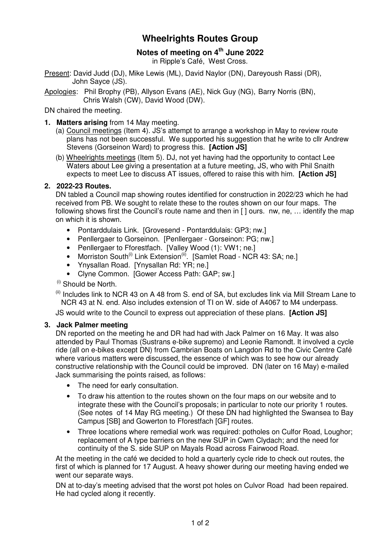# **Wheelrights Routes Group**

# **Notes of meeting on 4th June 2022**

in Ripple's Café, West Cross.

Present: David Judd (DJ), Mike Lewis (ML), David Naylor (DN), Dareyoush Rassi (DR), John Sayce (JS).

Apologies: Phil Brophy (PB), Allyson Evans (AE), Nick Guy (NG), Barry Norris (BN), Chris Walsh (CW), David Wood (DW).

DN chaired the meeting.

- **1. Matters arising** from 14 May meeting.
	- (a) Council meetings (Item 4). JS's attempt to arrange a workshop in May to review route plans has not been successful. We supported his suggestion that he write to cllr Andrew Stevens (Gorseinon Ward) to progress this. **[Action JS]**
	- (b) Wheelrights meetings (Item 5). DJ, not yet having had the opportunity to contact Lee Waters about Lee giving a presentation at a future meeting, JS, who with Phil Snaith expects to meet Lee to discuss AT issues, offered to raise this with him. **[Action JS]**

## **2. 2022-23 Routes.**

DN tabled a Council map showing routes identified for construction in 2022/23 which he had received from PB. We sought to relate these to the routes shown on our four maps. The following shows first the Council's route name and then in [] ours. nw, ne, ... identify the map on which it is shown.

- Pontarddulais Link. [Grovesend Pontarddulais: GP3; nw.]
- Penllergaer to Gorseinon. [Penllergaer Gorseinon: PG; nw.]
- Penllergaer to Fforestfach. [Valley Wood (1): VW1; ne.]
- Morriston South<sup>(i)</sup> Link Extension<sup>(ii)</sup>. [Samlet Road NCR 43: SA; ne.]
- Ynysallan Road. [Ynysallan Rd: YR; ne.]
- Clyne Common. [Gower Access Path: GAP; sw.]

 $(i)$  Should be North.

 $<sup>(ii)</sup>$  Includes link to NCR 43 on A 48 from S, end of SA, but excludes link via Mill Stream Lane to</sup> NCR 43 at N. end. Also includes extension of TI on W. side of A4067 to M4 underpass.

JS would write to the Council to express out appreciation of these plans. **[Action JS]**

#### **3. Jack Palmer meeting**

DN reported on the meeting he and DR had had with Jack Palmer on 16 May. It was also attended by Paul Thomas (Sustrans e-bike supremo) and Leonie Ramondt. It involved a cycle ride (all on e-bikes except DN) from Cambrian Boats on Langdon Rd to the Civic Centre Café where various matters were discussed, the essence of which was to see how our already constructive relationship with the Council could be improved. DN (later on 16 May) e-mailed Jack summarising the points raised, as follows:

- The need for early consultation.
- To draw his attention to the routes shown on the four maps on our website and to integrate these with the Council's proposals; in particular to note our priority 1 routes. (See notes of 14 May RG meeting.) Of these DN had highlighted the Swansea to Bay Campus [SB] and Gowerton to Fforestfach [GF] routes.
- Three locations where remedial work was required: potholes on Culfor Road, Loughor; replacement of A type barriers on the new SUP in Cwm Clydach; and the need for continuity of the S. side SUP on Mayals Road across Fairwood Road.

At the meeting in the café we decided to hold a quarterly cycle ride to check out routes, the first of which is planned for 17 August. A heavy shower during our meeting having ended we went our separate ways.

DN at to-day's meeting advised that the worst pot holes on Culvor Road had been repaired. He had cycled along it recently.